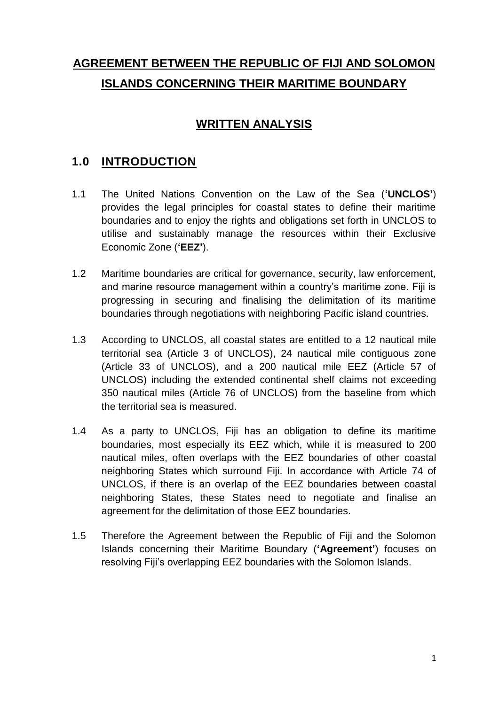# **AGREEMENT BETWEEN THE REPUBLIC OF FIJI AND SOLOMON ISLANDS CONCERNING THEIR MARITIME BOUNDARY**

# **WRITTEN ANALYSIS**

# **1.0 INTRODUCTION**

- 1.1 The United Nations Convention on the Law of the Sea (**'UNCLOS'**) provides the legal principles for coastal states to define their maritime boundaries and to enjoy the rights and obligations set forth in UNCLOS to utilise and sustainably manage the resources within their Exclusive Economic Zone (**'EEZ'**).
- 1.2 Maritime boundaries are critical for governance, security, law enforcement, and marine resource management within a country's maritime zone. Fiji is progressing in securing and finalising the delimitation of its maritime boundaries through negotiations with neighboring Pacific island countries.
- 1.3 According to UNCLOS, all coastal states are entitled to a 12 nautical mile territorial sea (Article 3 of UNCLOS), 24 nautical mile contiguous zone (Article 33 of UNCLOS), and a 200 nautical mile EEZ (Article 57 of UNCLOS) including the extended continental shelf claims not exceeding 350 nautical miles (Article 76 of UNCLOS) from the baseline from which the territorial sea is measured.
- 1.4 As a party to UNCLOS, Fiji has an obligation to define its maritime boundaries, most especially its EEZ which, while it is measured to 200 nautical miles, often overlaps with the EEZ boundaries of other coastal neighboring States which surround Fiji. In accordance with Article 74 of UNCLOS, if there is an overlap of the EEZ boundaries between coastal neighboring States, these States need to negotiate and finalise an agreement for the delimitation of those EEZ boundaries.
- 1.5 Therefore the Agreement between the Republic of Fiji and the Solomon Islands concerning their Maritime Boundary (**'Agreement'**) focuses on resolving Fiji's overlapping EEZ boundaries with the Solomon Islands.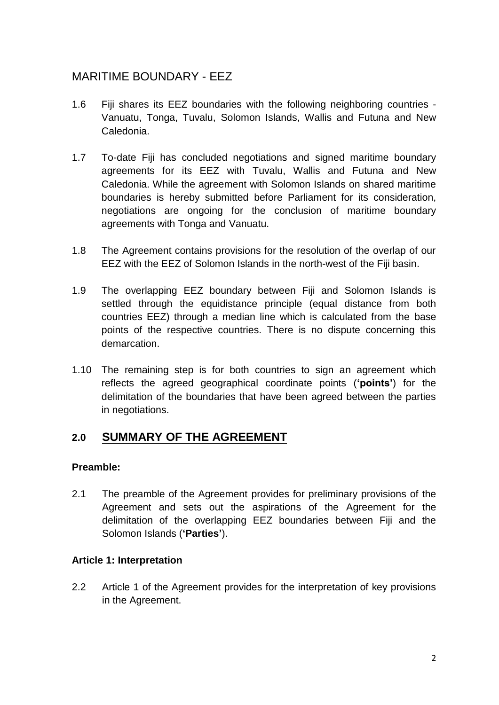### MARITIME BOUNDARY - EEZ

- 1.6 Fiji shares its EEZ boundaries with the following neighboring countries Vanuatu, Tonga, Tuvalu, Solomon Islands, Wallis and Futuna and New Caledonia.
- 1.7 To-date Fiji has concluded negotiations and signed maritime boundary agreements for its EEZ with Tuvalu, Wallis and Futuna and New Caledonia. While the agreement with Solomon Islands on shared maritime boundaries is hereby submitted before Parliament for its consideration, negotiations are ongoing for the conclusion of maritime boundary agreements with Tonga and Vanuatu.
- 1.8 The Agreement contains provisions for the resolution of the overlap of our EEZ with the EEZ of Solomon Islands in the north-west of the Fiji basin.
- 1.9 The overlapping EEZ boundary between Fiji and Solomon Islands is settled through the equidistance principle (equal distance from both countries EEZ) through a median line which is calculated from the base points of the respective countries. There is no dispute concerning this demarcation.
- 1.10 The remaining step is for both countries to sign an agreement which reflects the agreed geographical coordinate points (**'points'**) for the delimitation of the boundaries that have been agreed between the parties in negotiations.

### **2.0 SUMMARY OF THE AGREEMENT**

#### **Preamble:**

2.1 The preamble of the Agreement provides for preliminary provisions of the Agreement and sets out the aspirations of the Agreement for the delimitation of the overlapping EEZ boundaries between Fiji and the Solomon Islands (**'Parties'**).

### **Article 1: Interpretation**

2.2 Article 1 of the Agreement provides for the interpretation of key provisions in the Agreement.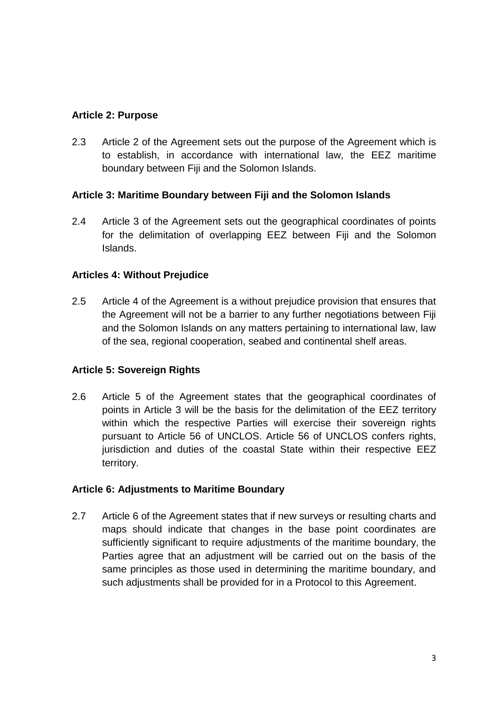### **Article 2: Purpose**

2.3 Article 2 of the Agreement sets out the purpose of the Agreement which is to establish, in accordance with international law, the EEZ maritime boundary between Fiji and the Solomon Islands.

#### **Article 3: Maritime Boundary between Fiji and the Solomon Islands**

2.4 Article 3 of the Agreement sets out the geographical coordinates of points for the delimitation of overlapping EEZ between Fiji and the Solomon Islands.

#### **Articles 4: Without Prejudice**

2.5 Article 4 of the Agreement is a without prejudice provision that ensures that the Agreement will not be a barrier to any further negotiations between Fiji and the Solomon Islands on any matters pertaining to international law, law of the sea, regional cooperation, seabed and continental shelf areas.

#### **Article 5: Sovereign Rights**

2.6 Article 5 of the Agreement states that the geographical coordinates of points in Article 3 will be the basis for the delimitation of the EEZ territory within which the respective Parties will exercise their sovereign rights pursuant to Article 56 of UNCLOS. Article 56 of UNCLOS confers rights, jurisdiction and duties of the coastal State within their respective EEZ territory.

#### **Article 6: Adjustments to Maritime Boundary**

2.7 Article 6 of the Agreement states that if new surveys or resulting charts and maps should indicate that changes in the base point coordinates are sufficiently significant to require adjustments of the maritime boundary, the Parties agree that an adjustment will be carried out on the basis of the same principles as those used in determining the maritime boundary, and such adjustments shall be provided for in a Protocol to this Agreement.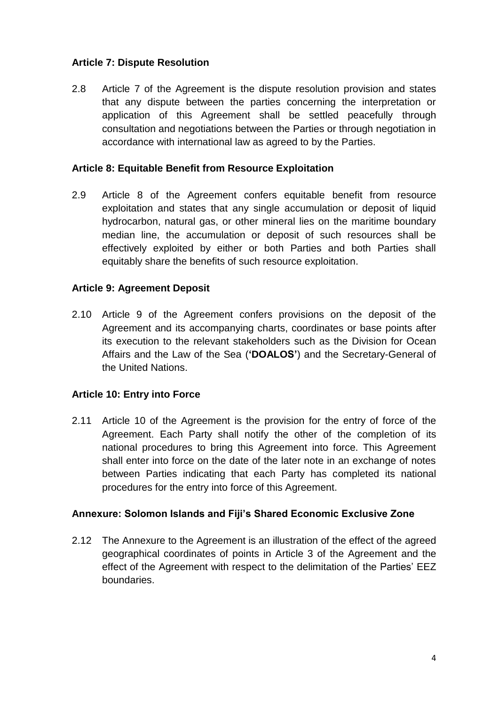### **Article 7: Dispute Resolution**

2.8 Article 7 of the Agreement is the dispute resolution provision and states that any dispute between the parties concerning the interpretation or application of this Agreement shall be settled peacefully through consultation and negotiations between the Parties or through negotiation in accordance with international law as agreed to by the Parties.

#### **Article 8: Equitable Benefit from Resource Exploitation**

2.9 Article 8 of the Agreement confers equitable benefit from resource exploitation and states that any single accumulation or deposit of liquid hydrocarbon, natural gas, or other mineral lies on the maritime boundary median line, the accumulation or deposit of such resources shall be effectively exploited by either or both Parties and both Parties shall equitably share the benefits of such resource exploitation.

#### **Article 9: Agreement Deposit**

2.10 Article 9 of the Agreement confers provisions on the deposit of the Agreement and its accompanying charts, coordinates or base points after its execution to the relevant stakeholders such as the Division for Ocean Affairs and the Law of the Sea (**'DOALOS'**) and the Secretary-General of the United Nations.

#### **Article 10: Entry into Force**

2.11 Article 10 of the Agreement is the provision for the entry of force of the Agreement. Each Party shall notify the other of the completion of its national procedures to bring this Agreement into force. This Agreement shall enter into force on the date of the later note in an exchange of notes between Parties indicating that each Party has completed its national procedures for the entry into force of this Agreement.

#### **Annexure: Solomon Islands and Fiji's Shared Economic Exclusive Zone**

2.12 The Annexure to the Agreement is an illustration of the effect of the agreed geographical coordinates of points in Article 3 of the Agreement and the effect of the Agreement with respect to the delimitation of the Parties' EEZ boundaries.